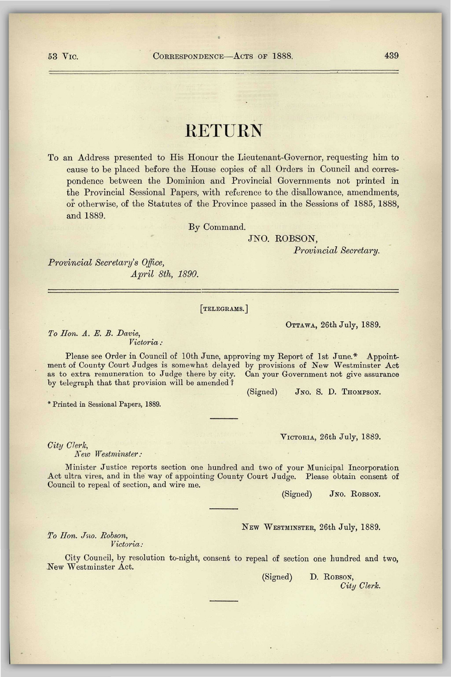# RETURN

To an Address presented to His Honour the Lieutenant-Governor, requesting him to cause to be placed before the House copies of all Orders in Council and correspondence between the Dominion and Provincial Governments not printed in the Provincial Sessional Papers, with reference to the disallowance, amendments, or otherwise, of the Statutes of the Province passed in the Sessions of 1885, 1888, and 1889.

By Command.

### JNO. ROBSON,

*Provincial Secretary.* 

*Provincial Secretary's Office, April 8th, 1890.* 

*Victoria :* 

#### [TELEGRAMS.]

OTTAWA, 26th July, 1889.

*To Lion. A. E. B. Davie,* 

Please see Order in Council of 10th June, approving my Report of 1st June.\* Appointment of County Court Judges is somewhat delayed by provisions of New Westminster Act as to extra remuneration to Judge there by city. Can your Government not give assurance by telegraph that that provision will be amended *1* 

\* Printed in Sessional Paper3, 1889.

VICTORIA, 26th July, 1889.

(Signed) JNO. S. D. THOMPSON.

*City Clerk,* 

*New Westminster:* 

Minister Justice reports section one hundred and two of your Municipal Incorporation Act ultra vires, and in the way of appointing County Court Judge. Please obtain consent of Council to repeal of section, and wire me.

(Signed) JNO. ROBSON.

NEW WESTMINSTER, 26th July, 1889.

*To Hon. Jno. Robson, Victoria:* 

City Council, by resolution to-night, consent to repeal of section one hundred and two, New Westminster Act.

> (Signed) D. ROBSON, *City Clerk.*